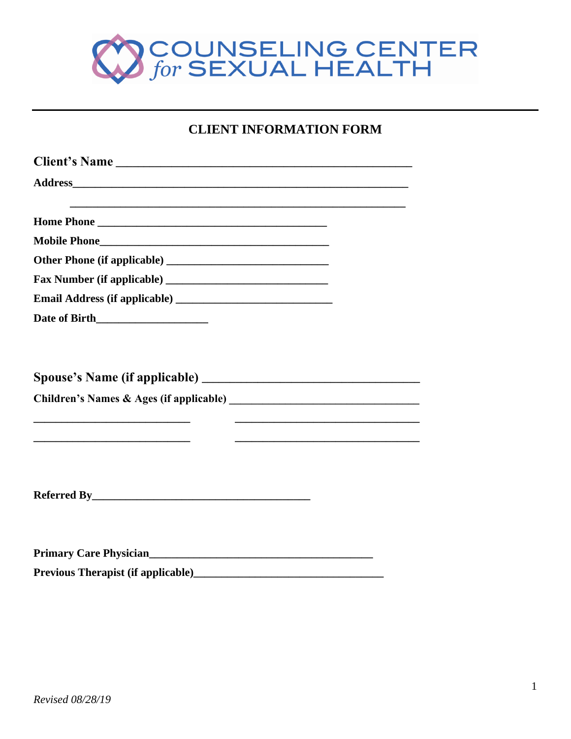

## **CLIENT INFORMATION FORM**

| and the control of the control of the control of the control of the control of the control of the control of the                                                                                                                       |                                                                                                                                                                                    |
|----------------------------------------------------------------------------------------------------------------------------------------------------------------------------------------------------------------------------------------|------------------------------------------------------------------------------------------------------------------------------------------------------------------------------------|
|                                                                                                                                                                                                                                        |                                                                                                                                                                                    |
|                                                                                                                                                                                                                                        |                                                                                                                                                                                    |
|                                                                                                                                                                                                                                        |                                                                                                                                                                                    |
|                                                                                                                                                                                                                                        |                                                                                                                                                                                    |
|                                                                                                                                                                                                                                        |                                                                                                                                                                                    |
|                                                                                                                                                                                                                                        | <u> 1989 - Andrea Barbara, amerikan personal di sebagai personal di sebagai personal di sebagai personal di seba</u><br><u> 1989 - Johann Stoff, amerikansk politiker (* 1908)</u> |
| <b>Referred By</b>                                                                                                                                                                                                                     |                                                                                                                                                                                    |
| Primary Care Physician<br><u> Filmary Care Physician</u>                                                                                                                                                                               |                                                                                                                                                                                    |
| Previous Therapist (if applicable)<br><u>Letter and the contract of the contract of the contract of the contract of the contract of the contract of the contract of the contract of the contract of the contract of the contract o</u> |                                                                                                                                                                                    |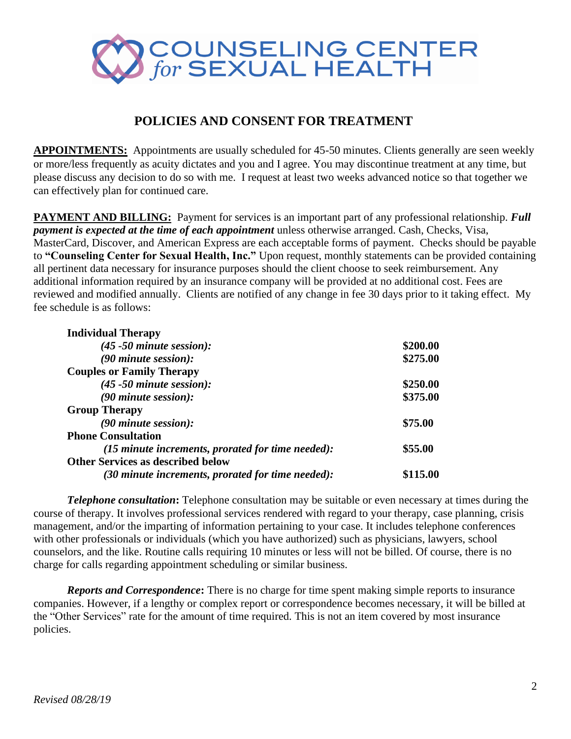

## **POLICIES AND CONSENT FOR TREATMENT**

**APPOINTMENTS:** Appointments are usually scheduled for 45-50 minutes. Clients generally are seen weekly or more/less frequently as acuity dictates and you and I agree. You may discontinue treatment at any time, but please discuss any decision to do so with me. I request at least two weeks advanced notice so that together we can effectively plan for continued care.

**PAYMENT AND BILLING:** Payment for services is an important part of any professional relationship. *Full payment is expected at the time of each appointment* unless otherwise arranged. Cash, Checks, Visa, MasterCard, Discover, and American Express are each acceptable forms of payment. Checks should be payable to **"Counseling Center for Sexual Health, Inc."** Upon request, monthly statements can be provided containing all pertinent data necessary for insurance purposes should the client choose to seek reimbursement. Any additional information required by an insurance company will be provided at no additional cost. Fees are reviewed and modified annually. Clients are notified of any change in fee 30 days prior to it taking effect. My fee schedule is as follows:

| <b>Individual Therapy</b>                                           |          |
|---------------------------------------------------------------------|----------|
| $(45 - 50$ minute session):                                         | \$200.00 |
| $(90$ minute session):                                              | \$275.00 |
| <b>Couples or Family Therapy</b>                                    |          |
| $(45 - 50$ minute session):                                         | \$250.00 |
| $(90$ minute session):                                              | \$375.00 |
| <b>Group Therapy</b>                                                |          |
| $(90$ minute session):                                              | \$75.00  |
| <b>Phone Consultation</b>                                           |          |
| $(15 \text{ minute increments}, \text{prorated for time needed})$ : | \$55.00  |
| <b>Other Services as described below</b>                            |          |
| $(30$ minute increments, prorated for time needed):                 | \$115.00 |

*Telephone consultation***:** Telephone consultation may be suitable or even necessary at times during the course of therapy. It involves professional services rendered with regard to your therapy, case planning, crisis management, and/or the imparting of information pertaining to your case. It includes telephone conferences with other professionals or individuals (which you have authorized) such as physicians, lawyers, school counselors, and the like. Routine calls requiring 10 minutes or less will not be billed. Of course, there is no charge for calls regarding appointment scheduling or similar business.

*Reports and Correspondence***:** There is no charge for time spent making simple reports to insurance companies. However, if a lengthy or complex report or correspondence becomes necessary, it will be billed at the "Other Services" rate for the amount of time required. This is not an item covered by most insurance policies.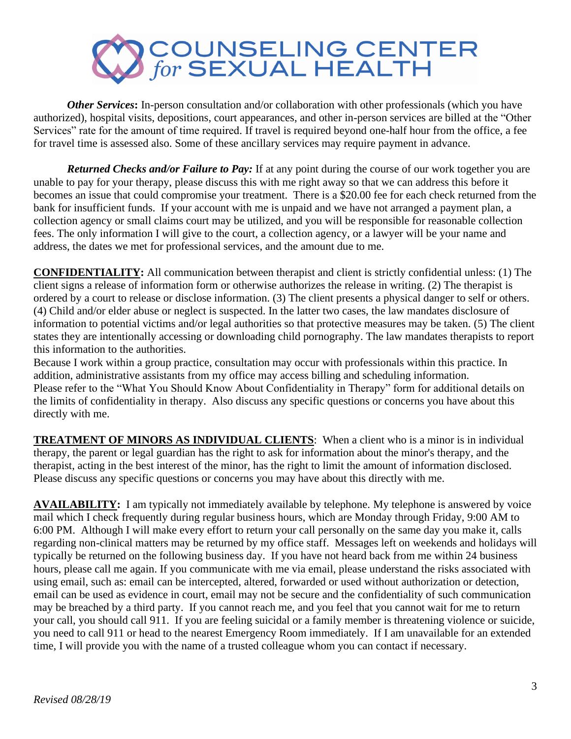

*Other Services*: In-person consultation and/or collaboration with other professionals (which you have authorized), hospital visits, depositions, court appearances, and other in-person services are billed at the "Other Services" rate for the amount of time required. If travel is required beyond one-half hour from the office, a fee for travel time is assessed also. Some of these ancillary services may require payment in advance.

*Returned Checks and/or Failure to Pay:* If at any point during the course of our work together you are unable to pay for your therapy, please discuss this with me right away so that we can address this before it becomes an issue that could compromise your treatment. There is a \$20.00 fee for each check returned from the bank for insufficient funds. If your account with me is unpaid and we have not arranged a payment plan, a collection agency or small claims court may be utilized, and you will be responsible for reasonable collection fees. The only information I will give to the court, a collection agency, or a lawyer will be your name and address, the dates we met for professional services, and the amount due to me.

**CONFIDENTIALITY:** All communication between therapist and client is strictly confidential unless: (1) The client signs a release of information form or otherwise authorizes the release in writing. (2) The therapist is ordered by a court to release or disclose information. (3) The client presents a physical danger to self or others. (4) Child and/or elder abuse or neglect is suspected. In the latter two cases, the law mandates disclosure of information to potential victims and/or legal authorities so that protective measures may be taken. (5) The client states they are intentionally accessing or downloading child pornography. The law mandates therapists to report this information to the authorities.

Because I work within a group practice, consultation may occur with professionals within this practice. In addition, administrative assistants from my office may access billing and scheduling information. Please refer to the "What You Should Know About Confidentiality in Therapy" form for additional details on the limits of confidentiality in therapy. Also discuss any specific questions or concerns you have about this directly with me.

**TREATMENT OF MINORS AS INDIVIDUAL CLIENTS**: When a client who is a minor is in individual therapy, the parent or legal guardian has the right to ask for information about the minor's therapy, and the therapist, acting in the best interest of the minor, has the right to limit the amount of information disclosed. Please discuss any specific questions or concerns you may have about this directly with me.

**AVAILABILITY:** I am typically not immediately available by telephone. My telephone is answered by voice mail which I check frequently during regular business hours, which are Monday through Friday, 9:00 AM to 6:00 PM. Although I will make every effort to return your call personally on the same day you make it, calls regarding non-clinical matters may be returned by my office staff. Messages left on weekends and holidays will typically be returned on the following business day. If you have not heard back from me within 24 business hours, please call me again. If you communicate with me via email, please understand the risks associated with using email, such as: email can be intercepted, altered, forwarded or used without authorization or detection, email can be used as evidence in court, email may not be secure and the confidentiality of such communication may be breached by a third party. If you cannot reach me, and you feel that you cannot wait for me to return your call, you should call 911. If you are feeling suicidal or a family member is threatening violence or suicide, you need to call 911 or head to the nearest Emergency Room immediately. If I am unavailable for an extended time, I will provide you with the name of a trusted colleague whom you can contact if necessary.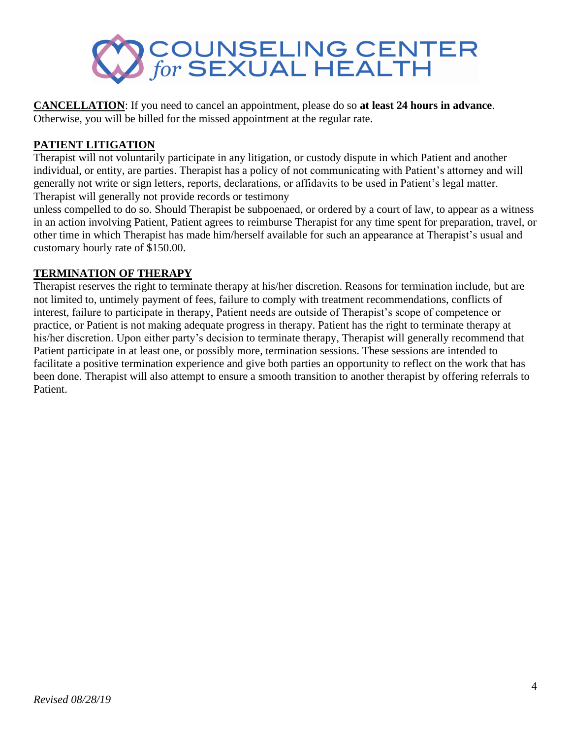

**CANCELLATION**: If you need to cancel an appointment, please do so **at least 24 hours in advance**. Otherwise, you will be billed for the missed appointment at the regular rate.

### **PATIENT LITIGATION**

Therapist will not voluntarily participate in any litigation, or custody dispute in which Patient and another individual, or entity, are parties. Therapist has a policy of not communicating with Patient's attorney and will generally not write or sign letters, reports, declarations, or affidavits to be used in Patient's legal matter. Therapist will generally not provide records or testimony

unless compelled to do so. Should Therapist be subpoenaed, or ordered by a court of law, to appear as a witness in an action involving Patient, Patient agrees to reimburse Therapist for any time spent for preparation, travel, or other time in which Therapist has made him/herself available for such an appearance at Therapist's usual and customary hourly rate of \$150.00.

### **TERMINATION OF THERAPY**

Therapist reserves the right to terminate therapy at his/her discretion. Reasons for termination include, but are not limited to, untimely payment of fees, failure to comply with treatment recommendations, conflicts of interest, failure to participate in therapy, Patient needs are outside of Therapist's scope of competence or practice, or Patient is not making adequate progress in therapy. Patient has the right to terminate therapy at his/her discretion. Upon either party's decision to terminate therapy, Therapist will generally recommend that Patient participate in at least one, or possibly more, termination sessions. These sessions are intended to facilitate a positive termination experience and give both parties an opportunity to reflect on the work that has been done. Therapist will also attempt to ensure a smooth transition to another therapist by offering referrals to Patient.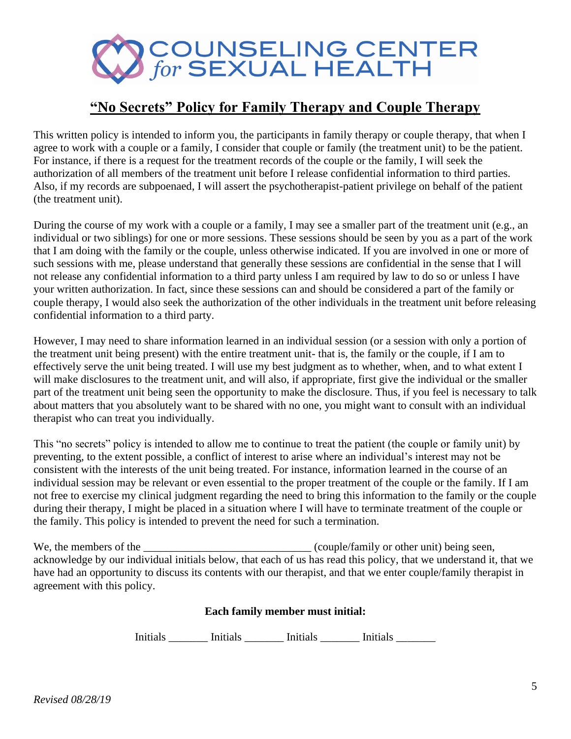

# **"No Secrets" Policy for Family Therapy and Couple Therapy**

This written policy is intended to inform you, the participants in family therapy or couple therapy, that when I agree to work with a couple or a family, I consider that couple or family (the treatment unit) to be the patient. For instance, if there is a request for the treatment records of the couple or the family, I will seek the authorization of all members of the treatment unit before I release confidential information to third parties. Also, if my records are subpoenaed, I will assert the psychotherapist-patient privilege on behalf of the patient (the treatment unit).

During the course of my work with a couple or a family, I may see a smaller part of the treatment unit (e.g., an individual or two siblings) for one or more sessions. These sessions should be seen by you as a part of the work that I am doing with the family or the couple, unless otherwise indicated. If you are involved in one or more of such sessions with me, please understand that generally these sessions are confidential in the sense that I will not release any confidential information to a third party unless I am required by law to do so or unless I have your written authorization. In fact, since these sessions can and should be considered a part of the family or couple therapy, I would also seek the authorization of the other individuals in the treatment unit before releasing confidential information to a third party.

However, I may need to share information learned in an individual session (or a session with only a portion of the treatment unit being present) with the entire treatment unit- that is, the family or the couple, if I am to effectively serve the unit being treated. I will use my best judgment as to whether, when, and to what extent I will make disclosures to the treatment unit, and will also, if appropriate, first give the individual or the smaller part of the treatment unit being seen the opportunity to make the disclosure. Thus, if you feel is necessary to talk about matters that you absolutely want to be shared with no one, you might want to consult with an individual therapist who can treat you individually.

This "no secrets" policy is intended to allow me to continue to treat the patient (the couple or family unit) by preventing, to the extent possible, a conflict of interest to arise where an individual's interest may not be consistent with the interests of the unit being treated. For instance, information learned in the course of an individual session may be relevant or even essential to the proper treatment of the couple or the family. If I am not free to exercise my clinical judgment regarding the need to bring this information to the family or the couple during their therapy, I might be placed in a situation where I will have to terminate treatment of the couple or the family. This policy is intended to prevent the need for such a termination.

We, the members of the \_\_\_\_\_\_\_\_\_\_\_\_\_\_\_\_\_\_\_\_\_\_\_\_\_\_\_\_\_\_\_\_\_(couple/family or other unit) being seen, acknowledge by our individual initials below, that each of us has read this policy, that we understand it, that we have had an opportunity to discuss its contents with our therapist, and that we enter couple/family therapist in agreement with this policy.

### **Each family member must initial:**

Initials \_\_\_\_\_\_\_\_ Initials \_\_\_\_\_\_\_ Initials \_\_\_\_\_\_\_\_ Initials \_\_\_\_\_\_\_\_\_\_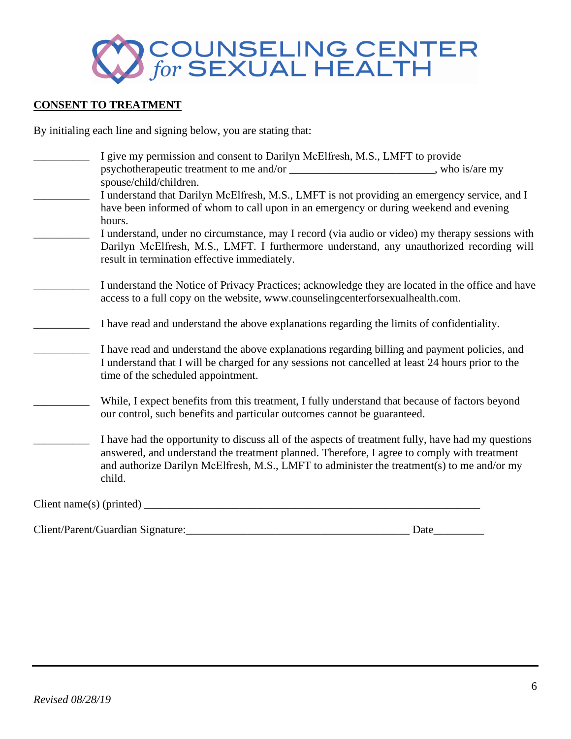

### **CONSENT TO TREATMENT**

By initialing each line and signing below, you are stating that:

| psychotherapeutic treatment to me and/or ______________________________, who is/are my                                                                                                                                                                                                          |
|-------------------------------------------------------------------------------------------------------------------------------------------------------------------------------------------------------------------------------------------------------------------------------------------------|
|                                                                                                                                                                                                                                                                                                 |
| I understand that Darilyn McElfresh, M.S., LMFT is not providing an emergency service, and I                                                                                                                                                                                                    |
| have been informed of whom to call upon in an emergency or during weekend and evening                                                                                                                                                                                                           |
| I understand, under no circumstance, may I record (via audio or video) my therapy sessions with                                                                                                                                                                                                 |
| Darilyn McElfresh, M.S., LMFT. I furthermore understand, any unauthorized recording will                                                                                                                                                                                                        |
|                                                                                                                                                                                                                                                                                                 |
| I understand the Notice of Privacy Practices; acknowledge they are located in the office and have                                                                                                                                                                                               |
|                                                                                                                                                                                                                                                                                                 |
| I have read and understand the above explanations regarding the limits of confidentiality.                                                                                                                                                                                                      |
| I have read and understand the above explanations regarding billing and payment policies, and<br>I understand that I will be charged for any sessions not cancelled at least 24 hours prior to the                                                                                              |
| While, I expect benefits from this treatment, I fully understand that because of factors beyond                                                                                                                                                                                                 |
| I have had the opportunity to discuss all of the aspects of treatment fully, have had my questions<br>answered, and understand the treatment planned. Therefore, I agree to comply with treatment<br>and authorize Darilyn McElfresh, M.S., LMFT to administer the treatment(s) to me and/or my |
|                                                                                                                                                                                                                                                                                                 |

Client/Parent/Guardian Signature:\_\_\_\_\_\_\_\_\_\_\_\_\_\_\_\_\_\_\_\_\_\_\_\_\_\_\_\_\_\_\_\_\_\_\_\_\_\_\_\_ Date\_\_\_\_\_\_\_\_\_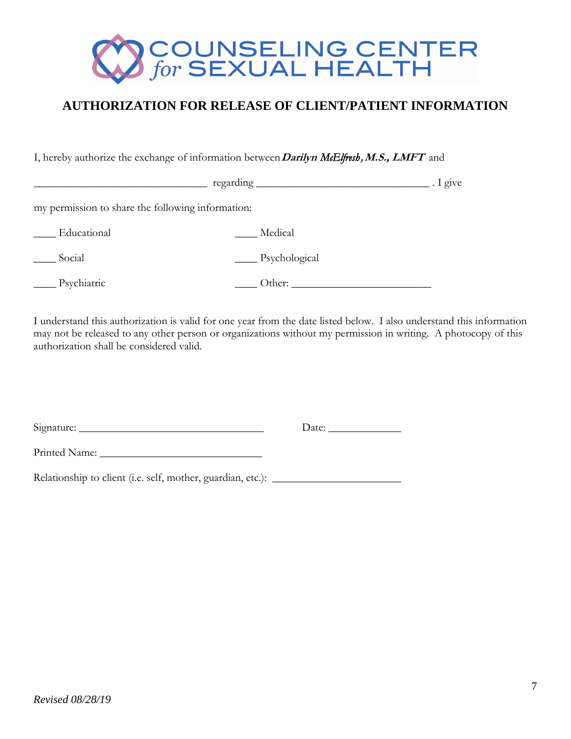

## **AUTHORIZATION FOR RELEASE OF CLIENT/PATIENT INFORMATION**

I, hereby authorize the exchange of information between **Darilyn** *McElfresh ,* **M.S., LMFT** and

|                                                   |               | . I give |
|---------------------------------------------------|---------------|----------|
| my permission to share the following information: |               |          |
| Educational                                       | Medical       |          |
| Social                                            | Psychological |          |
| Psychiatric                                       | Other:        |          |

I understand this authorization is valid for one year from the date listed below. I also understand this information may not be released to any other person or organizations without my permission in writing. A photocopy of this authorization shall be considered valid.

| Signature:                                                     | Date: |
|----------------------------------------------------------------|-------|
| Printed Name:                                                  |       |
| Relationship to client (i.e. self, mother, guardian, etc.): __ |       |